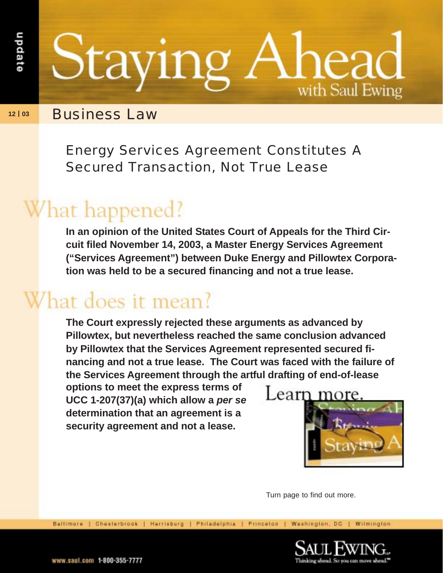Staying with Saul Ewing

**12 | 03** Business Law

Energy Services Agreement Constitutes A Secured Transaction, Not True Lease

## What happened?

**In an opinion of the United States Court of Appeals for the Third Circuit filed November 14, 2003, a Master Energy Services Agreement ("Services Agreement") between Duke Energy and Pillowtex Corporation was held to be a secured financing and not a true lease.**

## What does it mean?

**The Court expressly rejected these arguments as advanced by Pillowtex, but nevertheless reached the same conclusion advanced by Pillowtex that the Services Agreement represented secured financing and not a true lease. The Court was faced with the failure of the Services Agreement through the artful drafting of end-of-lease**

**options to meet the express terms of UCC 1-207(37)(a) which allow a per se determination that an agreement is a security agreement and not a lease.**



Turn page to find out more.

Baltimore | Chesterbrook | Harrisburg | Philadelphia | Princeton | Washington, DC | Wilmington

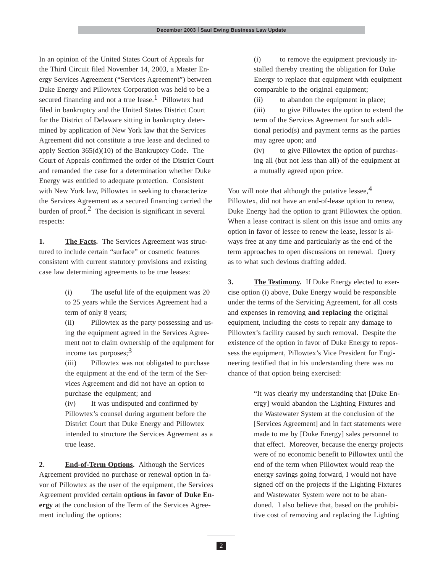In an opinion of the United States Court of Appeals for the Third Circuit filed November 14, 2003, a Master Energy Services Agreement ("Services Agreement") between Duke Energy and Pillowtex Corporation was held to be a secured financing and not a true lease.<sup>1</sup> Pillowtex had filed in bankruptcy and the United States District Court for the District of Delaware sitting in bankruptcy determined by application of New York law that the Services Agreement did not constitute a true lease and declined to apply Section 365(d)(10) of the Bankruptcy Code. The Court of Appeals confirmed the order of the District Court and remanded the case for a determination whether Duke Energy was entitled to adequate protection. Consistent with New York law, Pillowtex in seeking to characterize the Services Agreement as a secured financing carried the burden of proof.<sup>2</sup> The decision is significant in several respects:

**1. The Facts.** The Services Agreement was structured to include certain "surface" or cosmetic features consistent with current statutory provisions and existing case law determining agreements to be true leases:

> (i) The useful life of the equipment was 20 to 25 years while the Services Agreement had a term of only 8 years;

(ii) Pillowtex as the party possessing and using the equipment agreed in the Services Agreement not to claim ownership of the equipment for income tax purposes; $3$ 

(iii) Pillowtex was not obligated to purchase the equipment at the end of the term of the Services Agreement and did not have an option to purchase the equipment; and

(iv) It was undisputed and confirmed by Pillowtex's counsel during argument before the District Court that Duke Energy and Pillowtex intended to structure the Services Agreement as a true lease.

**2. End-of-Term Options.** Although the Services Agreement provided no purchase or renewal option in favor of Pillowtex as the user of the equipment, the Services Agreement provided certain **options in favor of Duke Energy** at the conclusion of the Term of the Services Agreement including the options:

(i) to remove the equipment previously installed thereby creating the obligation for Duke Energy to replace that equipment with equipment comparable to the original equipment;

(ii) to abandon the equipment in place;

(iii) to give Pillowtex the option to extend the term of the Services Agreement for such additional period(s) and payment terms as the parties may agree upon; and

(iv) to give Pillowtex the option of purchasing all (but not less than all) of the equipment at a mutually agreed upon price.

You will note that although the putative lessee,  $4$ Pillowtex, did not have an end-of-lease option to renew, Duke Energy had the option to grant Pillowtex the option. When a lease contract is silent on this issue and omits any option in favor of lessee to renew the lease, lessor is always free at any time and particularly as the end of the term approaches to open discussions on renewal. Query as to what such devious drafting added.

**3. The Testimony.** If Duke Energy elected to exercise option (i) above, Duke Energy would be responsible under the terms of the Servicing Agreement, for all costs and expenses in removing **and replacing** the original equipment, including the costs to repair any damage to Pillowtex's facility caused by such removal. Despite the existence of the option in favor of Duke Energy to repossess the equipment, Pillowtex's Vice President for Engineering testified that in his understanding there was no chance of that option being exercised:

> "It was clearly my understanding that [Duke Energy] would abandon the Lighting Fixtures and the Wastewater System at the conclusion of the [Services Agreement] and in fact statements were made to me by [Duke Energy] sales personnel to that effect. Moreover, because the energy projects were of no economic benefit to Pillowtex until the end of the term when Pillowtex would reap the energy savings going forward, I would not have signed off on the projects if the Lighting Fixtures and Wastewater System were not to be abandoned. I also believe that, based on the prohibitive cost of removing and replacing the Lighting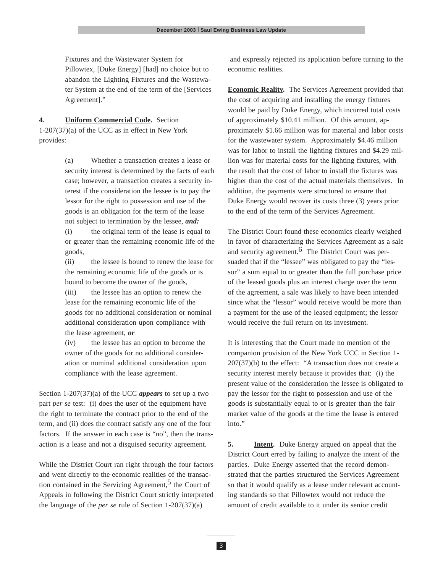Fixtures and the Wastewater System for Pillowtex, [Duke Energy] [had] no choice but to abandon the Lighting Fixtures and the Wastewater System at the end of the term of the [Services Agreement]."

**4. Uniform Commercial Code.** Section 1-207(37)(a) of the UCC as in effect in New York provides:

> (a) Whether a transaction creates a lease or security interest is determined by the facts of each case; however, a transaction creates a security interest if the consideration the lessee is to pay the lessor for the right to possession and use of the goods is an obligation for the term of the lease not subject to termination by the lessee, *and:*

> (i) the original term of the lease is equal to or greater than the remaining economic life of the goods,

> (ii) the lessee is bound to renew the lease for the remaining economic life of the goods or is bound to become the owner of the goods,

(iii) the lessee has an option to renew the lease for the remaining economic life of the goods for no additional consideration or nominal additional consideration upon compliance with the lease agreement, *or*

(iv) the lessee has an option to become the owner of the goods for no additional consideration or nominal additional consideration upon compliance with the lease agreement.

Section 1-207(37)(a) of the UCC *appears* to set up a two part *per se* test: (i) does the user of the equipment have the right to terminate the contract prior to the end of the term, and (ii) does the contract satisfy any one of the four factors. If the answer in each case is "no", then the transaction is a lease and not a disguised security agreement.

While the District Court ran right through the four factors and went directly to the economic realities of the transaction contained in the Servicing Agreement,<sup>5</sup> the Court of Appeals in following the District Court strictly interpreted the language of the *per se* rule of Section 1-207(37)(a)

 and expressly rejected its application before turning to the economic realities.

**Economic Reality.** The Services Agreement provided that the cost of acquiring and installing the energy fixtures would be paid by Duke Energy, which incurred total costs of approximately \$10.41 million. Of this amount, approximately \$1.66 million was for material and labor costs for the wastewater system. Approximately \$4.46 million was for labor to install the lighting fixtures and \$4.29 million was for material costs for the lighting fixtures, with the result that the cost of labor to install the fixtures was higher than the cost of the actual materials themselves. In addition, the payments were structured to ensure that Duke Energy would recover its costs three (3) years prior to the end of the term of the Services Agreement.

The District Court found these economics clearly weighed in favor of characterizing the Services Agreement as a sale and security agreement. <sup>6</sup> The District Court was persuaded that if the "lessee" was obligated to pay the "lessor" a sum equal to or greater than the full purchase price of the leased goods plus an interest charge over the term of the agreement, a sale was likely to have been intended since what the "lessor" would receive would be more than a payment for the use of the leased equipment; the lessor would receive the full return on its investment.

It is interesting that the Court made no mention of the companion provision of the New York UCC in Section 1- 207(37)(b) to the effect: "A transaction does not create a security interest merely because it provides that: (i) the present value of the consideration the lessee is obligated to pay the lessor for the right to possession and use of the goods is substantially equal to or is greater than the fair market value of the goods at the time the lease is entered into."

**5. Intent.** Duke Energy argued on appeal that the District Court erred by failing to analyze the intent of the parties. Duke Energy asserted that the record demonstrated that the parties structured the Services Agreement so that it would qualify as a lease under relevant accounting standards so that Pillowtex would not reduce the amount of credit available to it under its senior credit